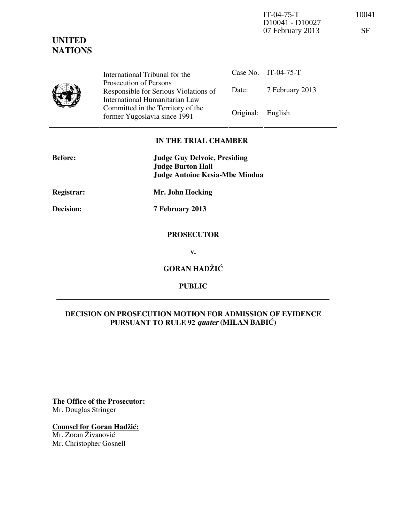IT-04-75-T 10041 D10041 - D10027 07 February 2013 SF

# **UNITED NATIONS**

| International Tribunal for the                                                                    |                   | Case No. IT-04-75-T |
|---------------------------------------------------------------------------------------------------|-------------------|---------------------|
| Prosecution of Persons<br>Responsible for Serious Violations of<br>International Humanitarian Law | Date:             | 7 February 2013     |
| Committed in the Territory of the<br>former Yugoslavia since 1991                                 | Original: English |                     |

### **IN THE TRIAL CHAMBER**

| <b>Before:</b> | <b>Judge Guy Delvoie, Presiding</b><br><b>Judge Burton Hall</b> |  |  |
|----------------|-----------------------------------------------------------------|--|--|
|                | <b>Judge Antoine Kesia-Mbe Mindua</b>                           |  |  |
| Registrar:     | Mr. John Hocking                                                |  |  |
| Decision:      | 7 February 2013                                                 |  |  |
|                | <b>PROSECUTOR</b>                                               |  |  |
|                | v                                                               |  |  |

**v.** 

**GORAN HADŽIĆ** 

**PUBLIC** 

## **DECISION ON PROSECUTION MOTION FOR ADMISSION OF EVIDENCE PURSUANT TO RULE 92 quater (MILAN BABIĆ)**

**The Office of the Prosecutor:** Mr. Douglas Stringer

**Counsel for Goran Hadžić:** Mr. Zoran Živanović

Mr. Christopher Gosnell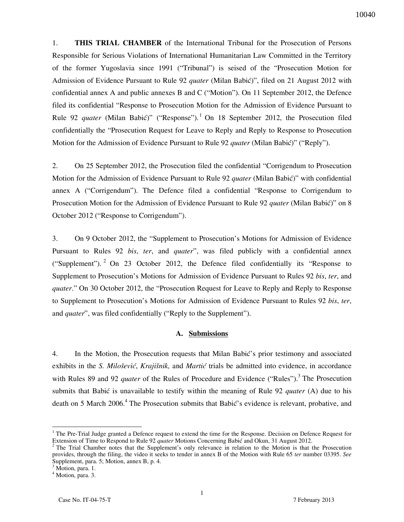1. **THIS TRIAL CHAMBER** of the International Tribunal for the Prosecution of Persons Responsible for Serious Violations of International Humanitarian Law Committed in the Territory of the former Yugoslavia since 1991 ("Tribunal") is seised of the "Prosecution Motion for Admission of Evidence Pursuant to Rule 92 *quater* (Milan Babić)", filed on 21 August 2012 with confidential annex A and public annexes B and C ("Motion"). On 11 September 2012, the Defence filed its confidential "Response to Prosecution Motion for the Admission of Evidence Pursuant to Rule 92 *quater* (Milan Babić)" ("Response").<sup>1</sup> On 18 September 2012, the Prosecution filed confidentially the "Prosecution Request for Leave to Reply and Reply to Response to Prosecution Motion for the Admission of Evidence Pursuant to Rule 92 *quater* (Milan Babić)" ("Reply").

2. On 25 September 2012, the Prosecution filed the confidential "Corrigendum to Prosecution Motion for the Admission of Evidence Pursuant to Rule 92 *quater* (Milan Babić)" with confidential annex A ("Corrigendum"). The Defence filed a confidential "Response to Corrigendum to Prosecution Motion for the Admission of Evidence Pursuant to Rule 92 *quater* (Milan Babić)" on 8 October 2012 ("Response to Corrigendum").

3. On 9 October 2012, the "Supplement to Prosecution's Motions for Admission of Evidence Pursuant to Rules 92 *bis*, *ter*, and *quater*", was filed publicly with a confidential annex ("Supplement"). <sup>2</sup> On 23 October 2012, the Defence filed confidentially its "Response to Supplement to Prosecution's Motions for Admission of Evidence Pursuant to Rules 92 *bis*, *ter*, and *quater*." On 30 October 2012, the "Prosecution Request for Leave to Reply and Reply to Response to Supplement to Prosecution's Motions for Admission of Evidence Pursuant to Rules 92 *bis*, *ter*, and *quater*", was filed confidentially ("Reply to the Supplement").

#### **A. Submissions**

4. In the Motion, the Prosecution requests that Milan Babić's prior testimony and associated exhibits in the *S. Milošević*, *Krajišnik*, and *Martić* trials be admitted into evidence, in accordance with Rules 89 and 92 *quater* of the Rules of Procedure and Evidence ("Rules").<sup>3</sup> The Prosecution submits that Babić is unavailable to testify within the meaning of Rule 92 *quater* (A) due to his death on 5 March 2006.<sup>4</sup> The Prosecution submits that Babić's evidence is relevant, probative, and

<sup>&</sup>lt;sup>1</sup> The Pre-Trial Judge granted a Defence request to extend the time for the Response. Decision on Defence Request for Extension of Time to Respond to Rule 92 *quater* Motions Concerning Babić and Okun, 31 August 2012.

<sup>&</sup>lt;sup>2</sup> The Trial Chamber notes that the Supplement's only relevance in relation to the Motion is that the Prosecution provides, through the filing, the video it seeks to tender in annex B of the Motion with Rule 65 *ter* number 03395. *See* Supplement, para. 5; Motion, annex B, p. 4.

<sup>&</sup>lt;sup>3</sup> Motion, para. 1.

<sup>4</sup> Motion, para. 3.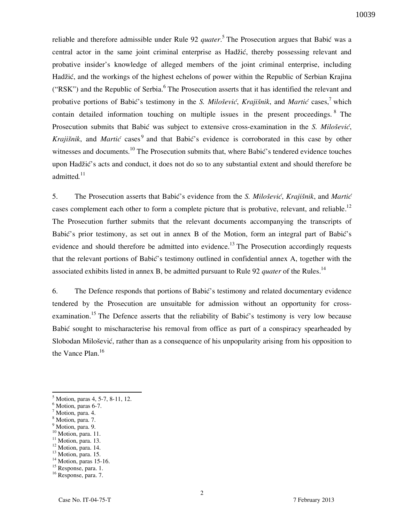reliable and therefore admissible under Rule 92 *quater*. 5 The Prosecution argues that Babić was a central actor in the same joint criminal enterprise as Hadžić, thereby possessing relevant and probative insider's knowledge of alleged members of the joint criminal enterprise, including Hadžić, and the workings of the highest echelons of power within the Republic of Serbian Krajina ("RSK") and the Republic of Serbia.<sup>6</sup> The Prosecution asserts that it has identified the relevant and probative portions of Babić's testimony in the *S. Milošević*, *Krajišnik*, and *Martić* cases,<sup>7</sup> which contain detailed information touching on multiple issues in the present proceedings. <sup>8</sup> The Prosecution submits that Babić was subject to extensive cross-examination in the *S. Milošević*, *Krajišnik*, and *Martić* cases<sup>9</sup> and that Babić's evidence is corroborated in this case by other witnesses and documents.<sup>10</sup> The Prosecution submits that, where Babić's tendered evidence touches upon Hadžić's acts and conduct, it does not do so to any substantial extent and should therefore be admitted*.* 11

5. The Prosecution asserts that Babić's evidence from the *S. Milo{evi}*, *Kraji{nik*, and *Martić* cases complement each other to form a complete picture that is probative, relevant, and reliable.<sup>12</sup> The Prosecution further submits that the relevant documents accompanying the transcripts of Babić's prior testimony, as set out in annex B of the Motion, form an integral part of Babić's evidence and should therefore be admitted into evidence.<sup>13</sup> The Prosecution accordingly requests that the relevant portions of Babić's testimony outlined in confidential annex A, together with the associated exhibits listed in annex B, be admitted pursuant to Rule 92 *quater* of the Rules.<sup>14</sup>

6. The Defence responds that portions of Babić's testimony and related documentary evidence tendered by the Prosecution are unsuitable for admission without an opportunity for crossexamination.<sup>15</sup> The Defence asserts that the reliability of Babić's testimony is very low because Babić sought to mischaracterise his removal from office as part of a conspiracy spearheaded by Slobodan Milošević, rather than as a consequence of his unpopularity arising from his opposition to the Vance Plan.<sup>16</sup>

- <sup>10</sup> Motion, para. 11.
- $11$  Motion, para. 13. <sup>12</sup> Motion, para. 14.

<sup>5</sup> Motion, paras 4, 5-7, 8-11, 12.

<sup>6</sup> Motion, paras 6-7.

<sup>&</sup>lt;sup>7</sup> Motion, para. 4.

<sup>8</sup> Motion, para. 7.

<sup>&</sup>lt;sup>9</sup> Motion, para. 9.

<sup>&</sup>lt;sup>13</sup> Motion, para. 15.

 $14$  Motion, paras 15-16.

<sup>&</sup>lt;sup>15</sup> Response, para. 1.

<sup>16</sup> Response, para. 7.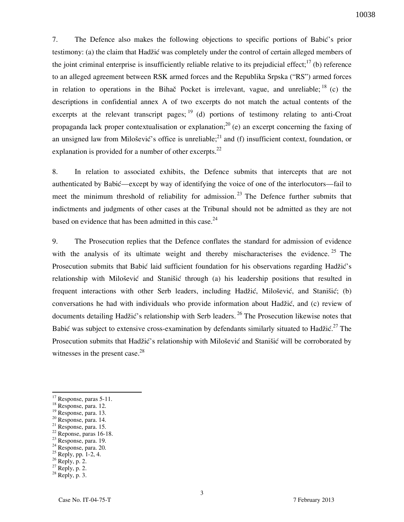7. The Defence also makes the following objections to specific portions of Babić's prior testimony: (a) the claim that Hadžić was completely under the control of certain alleged members of the joint criminal enterprise is insufficiently reliable relative to its prejudicial effect;<sup>17</sup> (b) reference to an alleged agreement between RSK armed forces and the Republika Srpska ("RS") armed forces in relation to operations in the Bihač Pocket is irrelevant, vague, and unreliable;  $^{18}$  (c) the descriptions in confidential annex A of two excerpts do not match the actual contents of the excerpts at the relevant transcript pages;  $19$  (d) portions of testimony relating to anti-Croat propaganda lack proper contextualisation or explanation;  $2^{0}$  (e) an excerpt concerning the faxing of an unsigned law from Milošević's office is unreliable;<sup>21</sup> and (f) insufficient context, foundation, or explanation is provided for a number of other excerpts. $^{22}$ 

8. In relation to associated exhibits, the Defence submits that intercepts that are not authenticated by Babić—except by way of identifying the voice of one of the interlocutors—fail to meet the minimum threshold of reliability for admission.<sup>23</sup> The Defence further submits that indictments and judgments of other cases at the Tribunal should not be admitted as they are not based on evidence that has been admitted in this case. $24$ 

9. The Prosecution replies that the Defence conflates the standard for admission of evidence with the analysis of its ultimate weight and thereby mischaracterises the evidence.  $25$  The Prosecution submits that Babić laid sufficient foundation for his observations regarding Hadžić's relationship with Milošević and Stanišić through (a) his leadership positions that resulted in frequent interactions with other Serb leaders, including Hadžić, Milošević, and Stanišić; (b) conversations he had with individuals who provide information about Hadžić, and (c) review of documents detailing Hadžić's relationship with Serb leaders.<sup>26</sup> The Prosecution likewise notes that Babić was subject to extensive cross-examination by defendants similarly situated to Hadžić.<sup>27</sup> The Prosecution submits that Hadžić's relationship with Milošević and Stanišić will be corroborated by witnesses in the present case. $28$ 

 $20$  Response, para. 14.

- $22$  Reponse, paras 16-18.
- <sup>23</sup> Response, para. 19. <sup>24</sup> Response, para. 20.
- $25$  Reply, pp. 1-2, 4.
- $26$  Reply, p. 2.

 $\overline{a}$ 

 $27$  Reply, p. 2.

 $17$  Response, paras 5-11.

<sup>18</sup> Response, para. 12.

<sup>&</sup>lt;sup>19</sup> Response, para. 13.

 $21$  Response, para. 15.

 $28$  Reply, p. 3.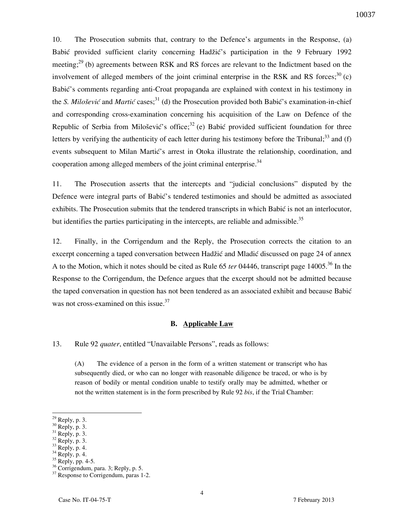10. The Prosecution submits that, contrary to the Defence's arguments in the Response, (a) Babić provided sufficient clarity concerning Hadžić's participation in the 9 February 1992 meeting;<sup>29</sup> (b) agreements between RSK and RS forces are relevant to the Indictment based on the involvement of alleged members of the joint criminal enterprise in the RSK and RS forces;<sup>30</sup> (c) Babić's comments regarding anti-Croat propaganda are explained with context in his testimony in the *S. Milošević* and *Martić* cases;<sup>31</sup> (d) the Prosecution provided both Babić's examination-in-chief and corresponding cross-examination concerning his acquisition of the Law on Defence of the Republic of Serbia from Milošević's office;<sup>32</sup> (e) Babić provided sufficient foundation for three letters by verifying the authenticity of each letter during his testimony before the Tribunal;<sup>33</sup> and (f) events subsequent to Milan Martić's arrest in Otoka illustrate the relationship, coordination, and cooperation among alleged members of the joint criminal enterprise.<sup>34</sup>

11. The Prosecution asserts that the intercepts and "judicial conclusions" disputed by the Defence were integral parts of Babić's tendered testimonies and should be admitted as associated exhibits. The Prosecution submits that the tendered transcripts in which Babić is not an interlocutor, but identifies the parties participating in the intercepts, are reliable and admissible.<sup>35</sup>

12. Finally, in the Corrigendum and the Reply, the Prosecution corrects the citation to an excerpt concerning a taped conversation between Hadžić and Mladić discussed on page 24 of annex A to the Motion, which it notes should be cited as Rule 65 *ter* 04446, transcript page 14005.<sup>36</sup> In the Response to the Corrigendum, the Defence argues that the excerpt should not be admitted because the taped conversation in question has not been tendered as an associated exhibit and because Babić was not cross-examined on this issue.<sup>37</sup>

#### **B. Applicable Law**

13. Rule 92 *quater*, entitled "Unavailable Persons", reads as follows:

(A) The evidence of a person in the form of a written statement or transcript who has subsequently died, or who can no longer with reasonable diligence be traced, or who is by reason of bodily or mental condition unable to testify orally may be admitted, whether or not the written statement is in the form prescribed by Rule 92 *bis*, if the Trial Chamber:

 $^{29}$  Reply, p. 3.

 $30$  Reply, p. 3.

 $31$  Reply, p. 3.

 $32$  Reply, p. 3.

 $^{33}$  Reply, p. 4.

Reply, p. 4.

 $35$  Reply, pp. 4-5.

 $36$  Corrigendum, para. 3; Reply, p. 5.

<sup>&</sup>lt;sup>37</sup> Response to Corrigendum, paras 1-2.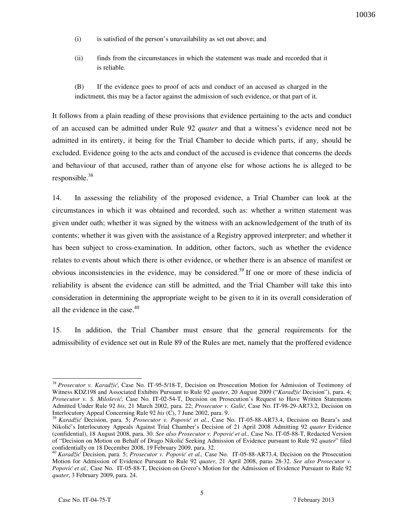- (i) is satisfied of the person's unavailability as set out above; and
- (ii) finds from the circumstances in which the statement was made and recorded that it is reliable.
- (B) If the evidence goes to proof of acts and conduct of an accused as charged in the indictment, this may be a factor against the admission of such evidence, or that part of it.

It follows from a plain reading of these provisions that evidence pertaining to the acts and conduct of an accused can be admitted under Rule 92 *quater* and that a witness's evidence need not be admitted in its entirety, it being for the Trial Chamber to decide which parts, if any, should be excluded. Evidence going to the acts and conduct of the accused is evidence that concerns the deeds and behaviour of that accused, rather than of anyone else for whose actions he is alleged to be responsible. $38$ 

14. In assessing the reliability of the proposed evidence, a Trial Chamber can look at the circumstances in which it was obtained and recorded, such as: whether a written statement was given under oath; whether it was signed by the witness with an acknowledgement of the truth of its contents; whether it was given with the assistance of a Registry approved interpreter; and whether it has been subject to cross-examination. In addition, other factors, such as whether the evidence relates to events about which there is other evidence, or whether there is an absence of manifest or obvious inconsistencies in the evidence, may be considered.<sup>39</sup> If one or more of these indicia of reliability is absent the evidence can still be admitted, and the Trial Chamber will take this into consideration in determining the appropriate weight to be given to it in its overall consideration of all the evidence in the case. $40$ 

15. In addition, the Trial Chamber must ensure that the general requirements for the admissibility of evidence set out in Rule 89 of the Rules are met, namely that the proffered evidence

<sup>38</sup> *Prosecutor v. Karadžić*, Case No. IT-95-5/18-T, Decision on Prosecution Motion for Admission of Testimony of Witness KDZ198 and Associated Exhibits Pursuant to Rule 92 *quater*, 20 August 2009 ("*Karadžić* Decision"), para. 4; *Prosecutor v. S. Milošević*, Case No. IT-02-54-T, Decision on Prosecution's Request to Have Written Statements Admitted Under Rule 92 *bis*, 21 March 2002, para. 22; *Prosecutor v. Galić*, Case No. IT-98-29-AR73.2, Decision on Interlocutory Appeal Concerning Rule 92 *bis* (C), 7 June 2002, para. 9.

<sup>39</sup> *Karadžić* Decision, para. 5; *Prosecutor v. Popović et al.*, Case No. IT-05-88-AR73.4, Decision on Beara's and Nikolić's Interlocutory Appeals Against Trial Chamber's Decision of 21 April 2008 Admitting 92 *quater* Evidence (confidential), 18 August 2008, para. 30. *See also Prosecutor v. Popović et al.,* Case No. IT-05-88-T, Redacted Version of "Decision on Motion on Behalf of Drago Nikolić Seeking Admission of Evidence pursuant to Rule 92 *quater*" filed confidentially on 18 December 2008, 19 February 2009, para. 32.

<sup>40</sup> *Karadžić* Decision, para. 5; *Prosecutor v. Popović et al.,* Case No. IT-05-88-AR73.4, Decision on the Prosecution Motion for Admission of Evidence Pursuant to Rule 92 *quater*, 21 April 2008, paras 28-32. *See also Prosecutor v. Popović et al.,* Case No. IT-05-88-T, Decision on Gvero's Motion for the Admission of Evidence Pursuant to Rule 92 *quater*, 3 February 2009, para. 24.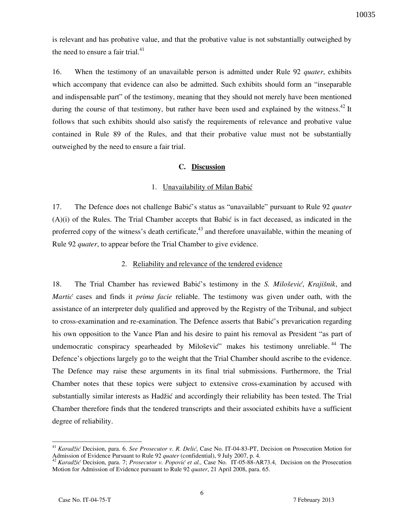is relevant and has probative value, and that the probative value is not substantially outweighed by the need to ensure a fair trial. $^{41}$ 

16. When the testimony of an unavailable person is admitted under Rule 92 *quater*, exhibits which accompany that evidence can also be admitted. Such exhibits should form an "inseparable" and indispensable part" of the testimony, meaning that they should not merely have been mentioned during the course of that testimony, but rather have been used and explained by the witness.<sup>42</sup> It follows that such exhibits should also satisfy the requirements of relevance and probative value contained in Rule 89 of the Rules, and that their probative value must not be substantially outweighed by the need to ensure a fair trial.

#### **C. Discussion**

#### 1. Unavailability of Milan Babić

17. The Defence does not challenge Babić's status as "unavailable" pursuant to Rule 92 *quater*  $(A)(i)$  of the Rules. The Trial Chamber accepts that Babić is in fact deceased, as indicated in the proferred copy of the witness's death certificate, $43$  and therefore unavailable, within the meaning of Rule 92 *quater*, to appear before the Trial Chamber to give evidence.

#### 2. Reliability and relevance of the tendered evidence

18. The Trial Chamber has reviewed Babić's testimony in the *S. Milošević*, *Krajišnik*, and *Martić* cases and finds it *prima facie* reliable. The testimony was given under oath, with the assistance of an interpreter duly qualified and approved by the Registry of the Tribunal, and subject to cross-examination and re-examination. The Defence asserts that Babić's prevarication regarding his own opposition to the Vance Plan and his desire to paint his removal as President "as part of undemocratic conspiracy spearheaded by Milošević" makes his testimony unreliable.<sup>44</sup> The Defence's objections largely go to the weight that the Trial Chamber should ascribe to the evidence. The Defence may raise these arguments in its final trial submissions. Furthermore, the Trial Chamber notes that these topics were subject to extensive cross-examination by accused with substantially similar interests as Hadžić and accordingly their reliability has been tested. The Trial Chamber therefore finds that the tendered transcripts and their associated exhibits have a sufficient degree of reliability.

<sup>41</sup> *Karadžić* Decision, para. 6. *See Prosecutor v. R. Delić*, Case No. IT-04-83-PT, Decision on Prosecution Motion for Admission of Evidence Pursuant to Rule 92 *quater* (confidential), 9 July 2007, p. 4.

<sup>42</sup> *Karadžić* Decision, para. 7; *Prosecutor v. Popović et al.,* Case No. IT-05-88-AR73.4, Decision on the Prosecution Motion for Admission of Evidence pursuant to Rule 92 *quater*, 21 April 2008, para. 65.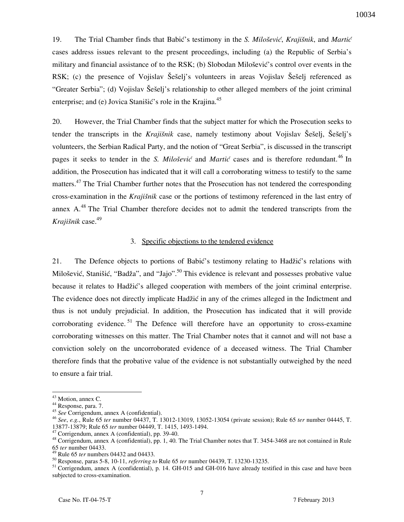19. The Trial Chamber finds that Babić's testimony in the *S. Milošević*, *Krajišnik*, and *Martić* cases address issues relevant to the present proceedings, including (a) the Republic of Serbia's military and financial assistance of to the RSK; (b) Slobodan Milošević's control over events in the RSK; (c) the presence of Vojislav Šešelj's volunteers in areas Vojislav Šešelj referenced as "Greater Serbia"; (d) Vojislav Šešelj's relationship to other alleged members of the joint criminal enterprise; and (e) Jovica Stanišić's role in the Krajina. $45$ 

20. However, the Trial Chamber finds that the subject matter for which the Prosecution seeks to tender the transcripts in the *Krajišnik* case, namely testimony about Vojislav Šešelj, Šešelj's volunteers, the Serbian Radical Party, and the notion of "Great Serbia", is discussed in the transcript pages it seeks to tender in the *S. Milošević* and *Martić* cases and is therefore redundant.<sup>46</sup> In addition, the Prosecution has indicated that it will call a corroborating witness to testify to the same matters.<sup>47</sup> The Trial Chamber further notes that the Prosecution has not tendered the corresponding cross-examination in the *Kraji{nik* case or the portions of testimony referenced in the last entry of annex  $A<sup>48</sup>$  The Trial Chamber therefore decides not to admit the tendered transcripts from the *Kraji{nik* case. 49

#### 3. Specific objections to the tendered evidence

21. The Defence objects to portions of Babić's testimony relating to Hadžić's relations with Milošević, Stanišić, "Badža", and "Jajo".<sup>50</sup> This evidence is relevant and possesses probative value because it relates to Hadžić's alleged cooperation with members of the joint criminal enterprise. The evidence does not directly implicate Hadžić in any of the crimes alleged in the Indictment and thus is not unduly prejudicial. In addition, the Prosecution has indicated that it will provide corroborating evidence.<sup>51</sup> The Defence will therefore have an opportunity to cross-examine corroborating witnesses on this matter. The Trial Chamber notes that it cannot and will not base a conviction solely on the uncorroborated evidence of a deceased witness. The Trial Chamber therefore finds that the probative value of the evidence is not substantially outweighed by the need to ensure a fair trial.

<sup>&</sup>lt;sup>43</sup> Motion, annex C.

<sup>44</sup> Response, para. 7.

<sup>45</sup> *See* Corrigendum, annex A (confidential).

<sup>46</sup> *See*, *e.g.*, Rule 65 *ter* number 04437, T. 13012-13019, 13052-13054 (private session); Rule 65 *ter* number 04445, T. 13877-13879; Rule 65 *ter* number 04449, T. 1415, 1493-1494.

<sup>47</sup> Corrigendum, annex A (confidential), pp. 39-40.

<sup>48</sup> Corrigendum, annex A (confidential), pp. 1, 40. The Trial Chamber notes that T. 3454-3468 are not contained in Rule 65 *ter* number 04433.

<sup>49</sup> Rule 65 *ter* numbers 04432 and 04433.

<sup>50</sup> Response, paras 5-8, 10-11, *referring to* Rule 65 *ter* number 04439, T. 13230-13235.

<sup>&</sup>lt;sup>51</sup> Corrigendum, annex A (confidential), p. 14. GH-015 and GH-016 have already testified in this case and have been subjected to cross-examination.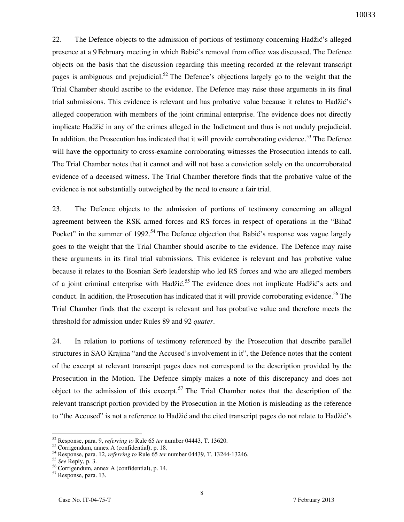22. The Defence objects to the admission of portions of testimony concerning Hadžić's alleged presence at a 9 February meeting in which Babić's removal from office was discussed. The Defence objects on the basis that the discussion regarding this meeting recorded at the relevant transcript pages is ambiguous and prejudicial.<sup>52</sup> The Defence's objections largely go to the weight that the Trial Chamber should ascribe to the evidence. The Defence may raise these arguments in its final trial submissions. This evidence is relevant and has probative value because it relates to Hadžić's alleged cooperation with members of the joint criminal enterprise. The evidence does not directly implicate Hadžić in any of the crimes alleged in the Indictment and thus is not unduly prejudicial. In addition, the Prosecution has indicated that it will provide corroborating evidence.<sup>53</sup> The Defence will have the opportunity to cross-examine corroborating witnesses the Prosecution intends to call. The Trial Chamber notes that it cannot and will not base a conviction solely on the uncorroborated evidence of a deceased witness. The Trial Chamber therefore finds that the probative value of the evidence is not substantially outweighed by the need to ensure a fair trial.

23. The Defence objects to the admission of portions of testimony concerning an alleged agreement between the RSK armed forces and RS forces in respect of operations in the "Bihač" Pocket" in the summer of 1992.<sup>54</sup> The Defence objection that Babić's response was vague largely goes to the weight that the Trial Chamber should ascribe to the evidence. The Defence may raise these arguments in its final trial submissions. This evidence is relevant and has probative value because it relates to the Bosnian Serb leadership who led RS forces and who are alleged members of a joint criminal enterprise with Hadžić.<sup>55</sup> The evidence does not implicate Hadžić's acts and conduct. In addition, the Prosecution has indicated that it will provide corroborating evidence.<sup>56</sup> The Trial Chamber finds that the excerpt is relevant and has probative value and therefore meets the threshold for admission under Rules 89 and 92 *quater*.

24. In relation to portions of testimony referenced by the Prosecution that describe parallel structures in SAO Krajina "and the Accused's involvement in it", the Defence notes that the content of the excerpt at relevant transcript pages does not correspond to the description provided by the Prosecution in the Motion. The Defence simply makes a note of this discrepancy and does not object to the admission of this excerpt.<sup>57</sup> The Trial Chamber notes that the description of the relevant transcript portion provided by the Prosecution in the Motion is misleading as the reference to "the Accused" is not a reference to Hadžić and the cited transcript pages do not relate to Hadžić's

<sup>52</sup> Response, para. 9, *referring to* Rule 65 *ter* number 04443, T. 13620.

 $53$  Corrigendum, annex A (confidential), p. 18.

<sup>54</sup> Response, para. 12, *referring to* Rule 65 *ter* number 04439, T. 13244-13246.

<sup>55</sup> *See* Reply, p. 3.

<sup>56</sup> Corrigendum, annex A (confidential), p. 14.

<sup>57</sup> Response, para. 13.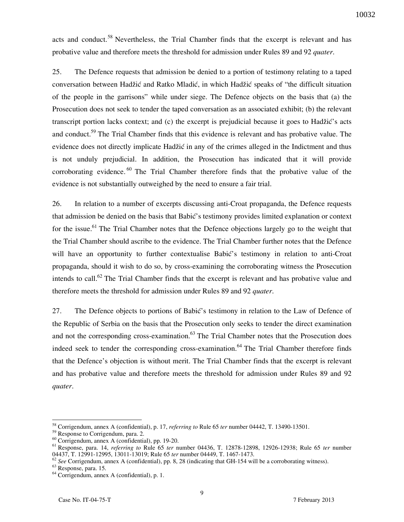acts and conduct.<sup>58</sup> Nevertheless, the Trial Chamber finds that the excerpt is relevant and has probative value and therefore meets the threshold for admission under Rules 89 and 92 *quater*.

25. The Defence requests that admission be denied to a portion of testimony relating to a taped conversation between Hadžić and Ratko Mladić, in which Hadžić speaks of "the difficult situation of the people in the garrisons" while under siege. The Defence objects on the basis that (a) the Prosecution does not seek to tender the taped conversation as an associated exhibit; (b) the relevant transcript portion lacks context; and (c) the excerpt is prejudicial because it goes to Hadžić's acts and conduct.<sup>59</sup> The Trial Chamber finds that this evidence is relevant and has probative value. The evidence does not directly implicate Hadžić in any of the crimes alleged in the Indictment and thus is not unduly prejudicial. In addition, the Prosecution has indicated that it will provide corroborating evidence.<sup>60</sup> The Trial Chamber therefore finds that the probative value of the evidence is not substantially outweighed by the need to ensure a fair trial.

26. In relation to a number of excerpts discussing anti-Croat propaganda, the Defence requests that admission be denied on the basis that Babić's testimony provides limited explanation or context for the issue.<sup>61</sup> The Trial Chamber notes that the Defence objections largely go to the weight that the Trial Chamber should ascribe to the evidence. The Trial Chamber further notes that the Defence will have an opportunity to further contextualise Babić's testimony in relation to anti-Croat propaganda, should it wish to do so, by cross-examining the corroborating witness the Prosecution intends to call.<sup>62</sup> The Trial Chamber finds that the excerpt is relevant and has probative value and therefore meets the threshold for admission under Rules 89 and 92 *quater*.

27. The Defence objects to portions of Babic's testimony in relation to the Law of Defence of the Republic of Serbia on the basis that the Prosecution only seeks to tender the direct examination and not the corresponding cross-examination.<sup>63</sup> The Trial Chamber notes that the Prosecution does indeed seek to tender the corresponding cross-examination.<sup>64</sup> The Trial Chamber therefore finds that the Defence's objection is without merit. The Trial Chamber finds that the excerpt is relevant and has probative value and therefore meets the threshold for admission under Rules 89 and 92 *quater*.

<sup>58</sup> Corrigendum, annex A (confidential), p. 17, *referring to* Rule 65 *ter* number 04442, T. 13490-13501.

<sup>&</sup>lt;sup>59</sup> Response to Corrigendum, para. 2.

 $\frac{60}{60}$  Corrigendum, annex A (confidential), pp. 19-20.

<sup>61</sup> Response, para. 14, *referring to* Rule 65 *ter* number 04436, T. 12878-12898, 12926-12938; Rule 65 *ter* number 04437, T. 12991-12995, 13011-13019; Rule 65 *ter* number 04449, T. 1467-1473.

<sup>&</sup>lt;sup>62</sup> See Corrigendum, annex A (confidential), pp. 8, 28 (indicating that GH-154 will be a corroborating witness).

<sup>63</sup> Response, para. 15.

<sup>64</sup> Corrigendum, annex A (confidential), p. 1.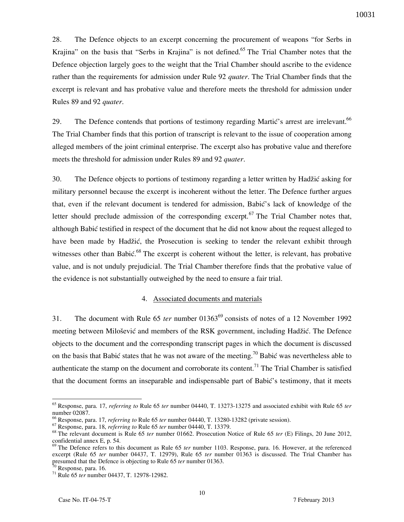28. The Defence objects to an excerpt concerning the procurement of weapons "for Serbs in Krajina" on the basis that "Serbs in Krajina" is not defined.<sup>65</sup> The Trial Chamber notes that the Defence objection largely goes to the weight that the Trial Chamber should ascribe to the evidence rather than the requirements for admission under Rule 92 *quater*. The Trial Chamber finds that the excerpt is relevant and has probative value and therefore meets the threshold for admission under Rules 89 and 92 *quater*.

29. The Defence contends that portions of testimony regarding Martic's arrest are irrelevant.<sup>66</sup> The Trial Chamber finds that this portion of transcript is relevant to the issue of cooperation among alleged members of the joint criminal enterprise. The excerpt also has probative value and therefore meets the threshold for admission under Rules 89 and 92 *quater*.

30. The Defence objects to portions of testimony regarding a letter written by Hadžić asking for military personnel because the excerpt is incoherent without the letter. The Defence further argues that, even if the relevant document is tendered for admission, Babić's lack of knowledge of the letter should preclude admission of the corresponding excerpt.<sup>67</sup> The Trial Chamber notes that, although Babić testified in respect of the document that he did not know about the request alleged to have been made by Hadžić, the Prosecution is seeking to tender the relevant exhibit through witnesses other than Babić.<sup>68</sup> The excerpt is coherent without the letter, is relevant, has probative value, and is not unduly prejudicial. The Trial Chamber therefore finds that the probative value of the evidence is not substantially outweighed by the need to ensure a fair trial.

#### 4. Associated documents and materials

31. The document with Rule 65 *ter* number 01363<sup>69</sup> consists of notes of a 12 November 1992 meeting between Milošević and members of the RSK government, including Hadžić. The Defence objects to the document and the corresponding transcript pages in which the document is discussed on the basis that Babić states that he was not aware of the meeting.<sup>70</sup> Babić was nevertheless able to authenticate the stamp on the document and corroborate its content.<sup>71</sup> The Trial Chamber is satisfied that the document forms an inseparable and indispensable part of Babić's testimony, that it meets

<sup>65</sup> Response, para. 17, *referring to* Rule 65 *ter* number 04440, T. 13273-13275 and associated exhibit with Rule 65 *ter* number 02087.

<sup>66</sup> Response, para. 17, *referring to* Rule 65 *ter* number 04440, T. 13280-13282 (private session).

<sup>67</sup> Response, para. 18, *referring to* Rule 65 *ter* number 04440, T. 13379.

<sup>68</sup> The relevant document is Rule 65 *ter* number 01662. Prosecution Notice of Rule 65 *ter* (E) Filings, 20 June 2012, confidential annex E, p. 54.

<sup>69</sup> The Defence refers to this document as Rule 65 *ter* number 1103. Response, para. 16. However, at the referenced excerpt (Rule 65 *ter* number 04437, T. 12979), Rule 65 *ter* number 01363 is discussed. The Trial Chamber has presumed that the Defence is objecting to Rule 65 *ter* number 01363.

 $<sup>0</sup>$  Response, para. 16.</sup>

<sup>71</sup> Rule 65 *ter* number 04437, T. 12978-12982.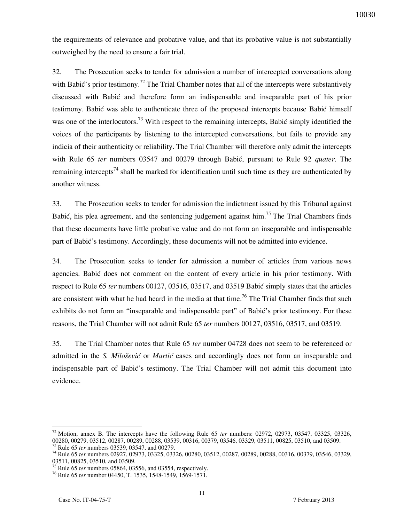the requirements of relevance and probative value, and that its probative value is not substantially outweighed by the need to ensure a fair trial.

32. The Prosecution seeks to tender for admission a number of intercepted conversations along with Babić's prior testimony.<sup>72</sup> The Trial Chamber notes that all of the intercepts were substantively discussed with Babić and therefore form an indispensable and inseparable part of his prior testimony. Babić was able to authenticate three of the proposed intercepts because Babić himself was one of the interlocutors.<sup>73</sup> With respect to the remaining intercepts, Babić simply identified the voices of the participants by listening to the intercepted conversations, but fails to provide any indicia of their authenticity or reliability. The Trial Chamber will therefore only admit the intercepts with Rule 65 *ter* numbers 03547 and 00279 through Babić, pursuant to Rule 92 *quater*. The remaining intercepts<sup>74</sup> shall be marked for identification until such time as they are authenticated by another witness.

33. The Prosecution seeks to tender for admission the indictment issued by this Tribunal against Babić, his plea agreement, and the sentencing judgement against him.<sup>75</sup> The Trial Chambers finds that these documents have little probative value and do not form an inseparable and indispensable part of Babić's testimony. Accordingly, these documents will not be admitted into evidence.

34. The Prosecution seeks to tender for admission a number of articles from various news agencies. Babić does not comment on the content of every article in his prior testimony. With respect to Rule 65 *ter* numbers 00127, 03516, 03517, and 03519 Babić simply states that the articles are consistent with what he had heard in the media at that time.<sup>76</sup> The Trial Chamber finds that such exhibits do not form an "inseparable and indispensable part" of Babić's prior testimony. For these reasons, the Trial Chamber will not admit Rule 65 *ter* numbers 00127, 03516, 03517, and 03519.

35. The Trial Chamber notes that Rule 65 *ter* number 04728 does not seem to be referenced or admitted in the *S. Milošević* or *Martić* cases and accordingly does not form an inseparable and indispensable part of Babic's testimony. The Trial Chamber will not admit this document into evidence.

<sup>72</sup> Motion, annex B. The intercepts have the following Rule 65 *ter* numbers: 02972, 02973, 03547, 03325, 03326, 00280, 00279, 03512, 00287, 00289, 00288, 03539, 00316, 00379, 03546, 03329, 03511, 00825, 03510, and 03509. <sup>73</sup> Rule 65 *ter* numbers 03539, 03547, and 00279.

<sup>74</sup> Rule 65 *ter* numbers 02927, 02973, 03325, 03326, 00280, 03512, 00287, 00289, 00288, 00316, 00379, 03546, 03329, 03511, 00825, 03510, and 03509.

<sup>75</sup> Rule 65 *ter* numbers 05864, 03556, and 03554, respectively.

<sup>76</sup> Rule 65 *ter* number 04450, T. 1535, 1548-1549, 1569-1571.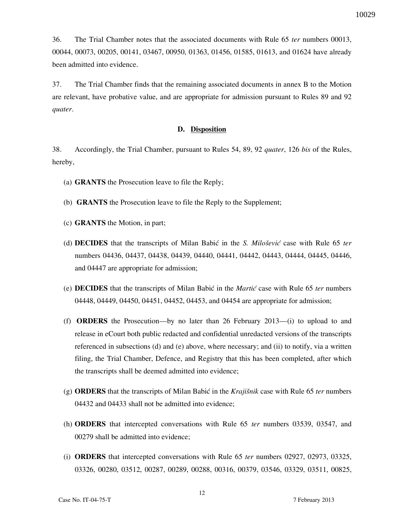36. The Trial Chamber notes that the associated documents with Rule 65 *ter* numbers 00013, 00044, 00073, 00205, 00141, 03467, 00950, 01363, 01456, 01585, 01613, and 01624 have already been admitted into evidence.

37. The Trial Chamber finds that the remaining associated documents in annex B to the Motion are relevant, have probative value, and are appropriate for admission pursuant to Rules 89 and 92 *quater*.

#### **D. Disposition**

38. Accordingly, the Trial Chamber, pursuant to Rules 54, 89, 92 *quater*, 126 *bis* of the Rules, hereby,

- (a) **GRANTS** the Prosecution leave to file the Reply;
- (b) **GRANTS** the Prosecution leave to file the Reply to the Supplement;
- (c) **GRANTS** the Motion, in part;
- (d) **DECIDES** that the transcripts of Milan Babi} in the *S. Milo{evi}* case with Rule 65 *ter* numbers 04436, 04437, 04438, 04439, 04440, 04441, 04442, 04443, 04444, 04445, 04446, and 04447 are appropriate for admission;
- (e) **DECIDES** that the transcripts of Milan Babi} in the *Marti}* case with Rule 65 *ter* numbers 04448, 04449, 04450, 04451, 04452, 04453, and 04454 are appropriate for admission;
- (f) **ORDERS** the Prosecution—by no later than 26 February 2013—(i) to upload to and release in eCourt both public redacted and confidential unredacted versions of the transcripts referenced in subsections (d) and (e) above, where necessary; and (ii) to notify, via a written filing, the Trial Chamber, Defence, and Registry that this has been completed, after which the transcripts shall be deemed admitted into evidence;
- (g) **ORDERS** that the transcripts of Milan Babić in the *Krajišnik* case with Rule 65 *ter* numbers 04432 and 04433 shall not be admitted into evidence;
- (h) **ORDERS** that intercepted conversations with Rule 65 *ter* numbers 03539, 03547, and 00279 shall be admitted into evidence;
- (i) **ORDERS** that intercepted conversations with Rule 65 *ter* numbers 02927, 02973, 03325, 03326, 00280, 03512, 00287, 00289, 00288, 00316, 00379, 03546, 03329, 03511, 00825,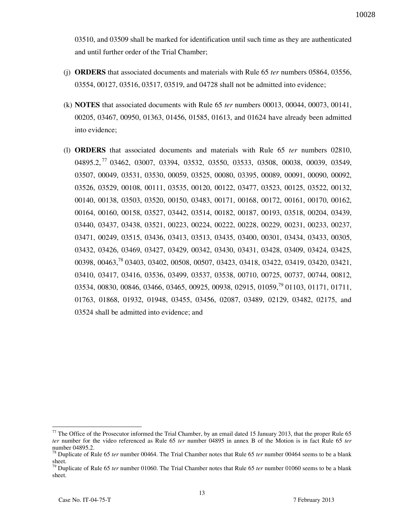03510, and 03509 shall be marked for identification until such time as they are authenticated and until further order of the Trial Chamber;

- (j) **ORDERS** that associated documents and materials with Rule 65 *ter* numbers 05864, 03556, 03554, 00127, 03516, 03517, 03519, and 04728 shall not be admitted into evidence;
- (k) **NOTES** that associated documents with Rule 65 *ter* numbers 00013, 00044, 00073, 00141, 00205, 03467, 00950, 01363, 01456, 01585, 01613, and 01624 have already been admitted into evidence;
- (l) **ORDERS** that associated documents and materials with Rule 65 *ter* numbers 02810, 04895.2, <sup>77</sup> 03462, 03007, 03394, 03532, 03550, 03533, 03508, 00038, 00039, 03549, 03507, 00049, 03531, 03530, 00059, 03525, 00080, 03395, 00089, 00091, 00090, 00092, 03526, 03529, 00108, 00111, 03535, 00120, 00122, 03477, 03523, 00125, 03522, 00132, 00140, 00138, 03503, 03520, 00150, 03483, 00171, 00168, 00172, 00161, 00170, 00162, 00164, 00160, 00158, 03527, 03442, 03514, 00182, 00187, 00193, 03518, 00204, 03439, 03440, 03437, 03438, 03521, 00223, 00224, 00222, 00228, 00229, 00231, 00233, 00237, 03471, 00249, 03515, 03436, 03413, 03513, 03435, 03400, 00301, 03434, 03433, 00305, 03432, 03426, 03469, 03427, 03429, 00342, 03430, 03431, 03428, 03409, 03424, 03425, 00398, 00463,<sup>78</sup> 03403, 03402, 00508, 00507, 03423, 03418, 03422, 03419, 03420, 03421, 03410, 03417, 03416, 03536, 03499, 03537, 03538, 00710, 00725, 00737, 00744, 00812, 03534, 00830, 00846, 03466, 03465, 00925, 00938, 02915, 01059,<sup>79</sup> 01103, 01171, 01711, 01763, 01868, 01932, 01948, 03455, 03456, 02087, 03489, 02129, 03482, 02175, and 03524 shall be admitted into evidence; and

 $77$  The Office of the Prosecutor informed the Trial Chamber, by an email dated 15 January 2013, that the proper Rule 65 *ter* number for the video referenced as Rule 65 *ter* number 04895 in annex B of the Motion is in fact Rule 65 *ter* number 04895.2.

<sup>78</sup> Duplicate of Rule 65 *ter* number 00464. The Trial Chamber notes that Rule 65 *ter* number 00464 seems to be a blank sheet.

<sup>79</sup> Duplicate of Rule 65 *ter* number 01060. The Trial Chamber notes that Rule 65 *ter* number 01060 seems to be a blank sheet.